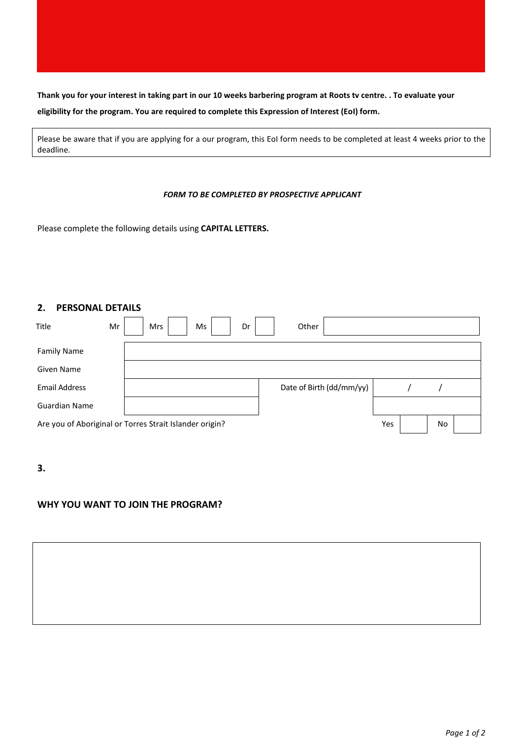**Thank you for your interest in taking part in our 10 weeks barbering program at Roots tv centre. . To evaluate your eligibility for the program. You are required to complete this Expression of Interest (EoI) form.** 

Please be aware that if you are applying for a our program, this EoI form needs to be completed at least 4 weeks prior to the deadline.

### *FORM TO BE COMPLETED BY PROSPECTIVE APPLICANT*

Please complete the following details using **CAPITAL LETTERS.**

## **2. PERSONAL DETAILS**

| Title                                                   | Mr |  | Mrs |  | Ms | Dr |  | Other                    |    |  |  |  |
|---------------------------------------------------------|----|--|-----|--|----|----|--|--------------------------|----|--|--|--|
| <b>Family Name</b>                                      |    |  |     |  |    |    |  |                          |    |  |  |  |
| Given Name                                              |    |  |     |  |    |    |  |                          |    |  |  |  |
| <b>Email Address</b>                                    |    |  |     |  |    |    |  | Date of Birth (dd/mm/yy) |    |  |  |  |
| Guardian Name                                           |    |  |     |  |    |    |  |                          |    |  |  |  |
| Are you of Aboriginal or Torres Strait Islander origin? |    |  |     |  |    |    |  | Yes                      | No |  |  |  |

**3.**

# **WHY YOU WANT TO JOIN THE PROGRAM?**